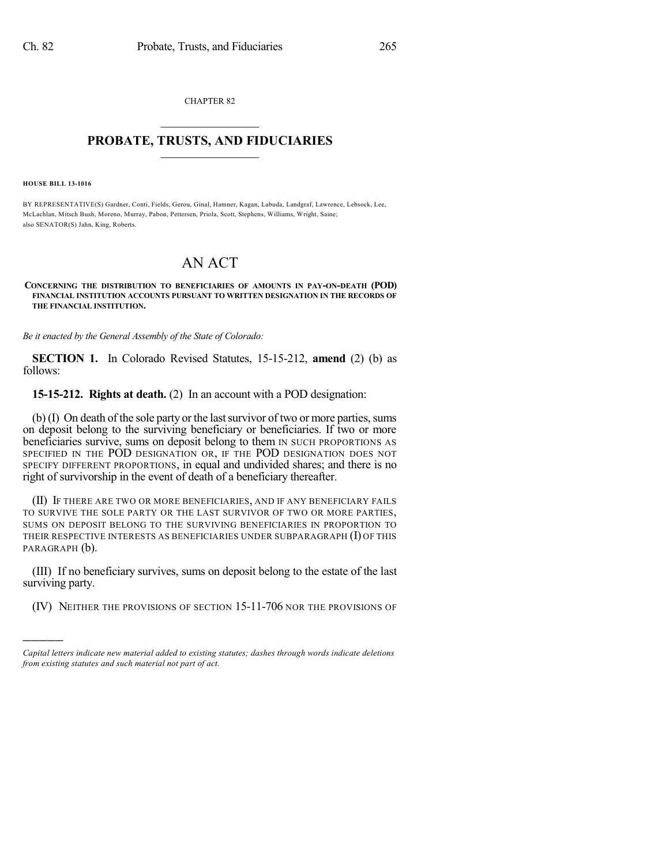CHAPTER 82  $\overline{\phantom{a}}$  . The set of the set of the set of the set of the set of the set of the set of the set of the set of the set of the set of the set of the set of the set of the set of the set of the set of the set of the set o

## **PROBATE, TRUSTS, AND FIDUCIARIES**  $\overline{\phantom{a}}$

**HOUSE BILL 13-1016**

)))))

BY REPRESENTATIVE(S) Gardner, Conti, Fields, Gerou, Ginal, Hamner, Kagan, Labuda, Landgraf, Lawrence, Lebsock, Lee, McLachlan, Mitsch Bush, Moreno, Murray, Pabon, Pettersen, Priola, Scott, Stephens, Williams, Wright, Saine; also SENATOR(S) Jahn, King, Roberts.

## AN ACT

## **CONCERNING THE DISTRIBUTION TO BENEFICIARIES OF AMOUNTS IN PAY-ON-DEATH (POD) FINANCIAL INSTITUTION ACCOUNTS PURSUANT TO WRITTEN DESIGNATION IN THE RECORDS OF THE FINANCIAL INSTITUTION.**

*Be it enacted by the General Assembly of the State of Colorado:*

**SECTION 1.** In Colorado Revised Statutes, 15-15-212, **amend** (2) (b) as follows:

**15-15-212. Rights at death.** (2) In an account with a POD designation:

 $(b)$  (I) On death of the sole party or the last survivor of two or more parties, sums on deposit belong to the surviving beneficiary or beneficiaries. If two or more beneficiaries survive, sums on deposit belong to them IN SUCH PROPORTIONS AS SPECIFIED IN THE POD DESIGNATION OR, IF THE POD DESIGNATION DOES NOT SPECIFY DIFFERENT PROPORTIONS, in equal and undivided shares; and there is no right of survivorship in the event of death of a beneficiary thereafter.

(II) IF THERE ARE TWO OR MORE BENEFICIARIES, AND IF ANY BENEFICIARY FAILS TO SURVIVE THE SOLE PARTY OR THE LAST SURVIVOR OF TWO OR MORE PARTIES, SUMS ON DEPOSIT BELONG TO THE SURVIVING BENEFICIARIES IN PROPORTION TO THEIR RESPECTIVE INTERESTS AS BENEFICIARIES UNDER SUBPARAGRAPH (I) OF THIS PARAGRAPH (b).

(III) If no beneficiary survives, sums on deposit belong to the estate of the last surviving party.

(IV) NEITHER THE PROVISIONS OF SECTION 15-11-706 NOR THE PROVISIONS OF

*Capital letters indicate new material added to existing statutes; dashes through words indicate deletions from existing statutes and such material not part of act.*